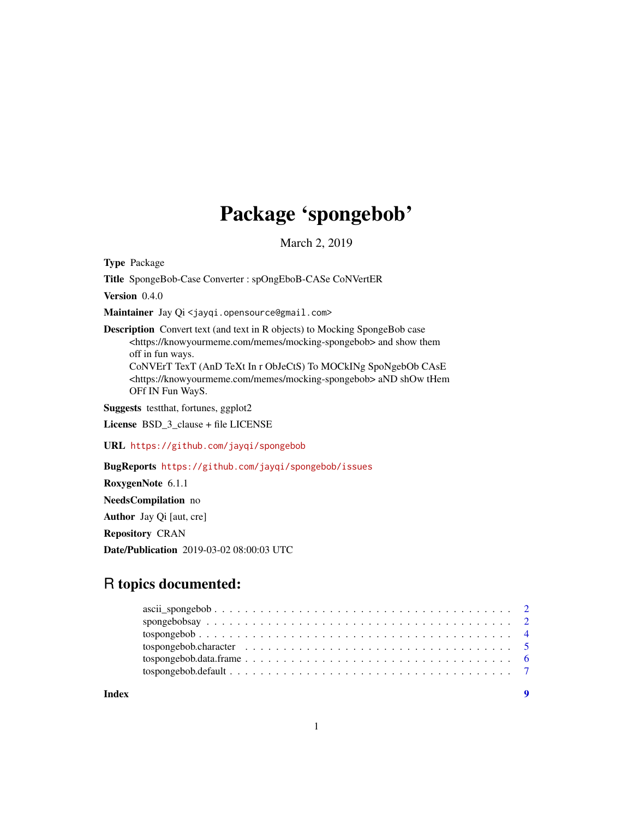## Package 'spongebob'

March 2, 2019

<span id="page-0-0"></span>Type Package

Title SpongeBob-Case Converter : spOngEboB-CASe CoNVertER

Version 0.4.0

Maintainer Jay Qi <jayqi.opensource@gmail.com>

Description Convert text (and text in R objects) to Mocking SpongeBob case <https://knowyourmeme.com/memes/mocking-spongebob> and show them off in fun ways. CoNVErT TexT (AnD TeXt In r ObJeCtS) To MOCkINg SpoNgebOb CAsE

<https://knowyourmeme.com/memes/mocking-spongebob> aND shOw tHem OFf IN Fun WayS.

Suggests testthat, fortunes, ggplot2

License BSD\_3\_clause + file LICENSE

URL <https://github.com/jayqi/spongebob>

BugReports <https://github.com/jayqi/spongebob/issues>

RoxygenNote 6.1.1

NeedsCompilation no

Author Jay Qi [aut, cre]

Repository CRAN

Date/Publication 2019-03-02 08:00:03 UTC

### R topics documented:

**Index** [9](#page-8-0)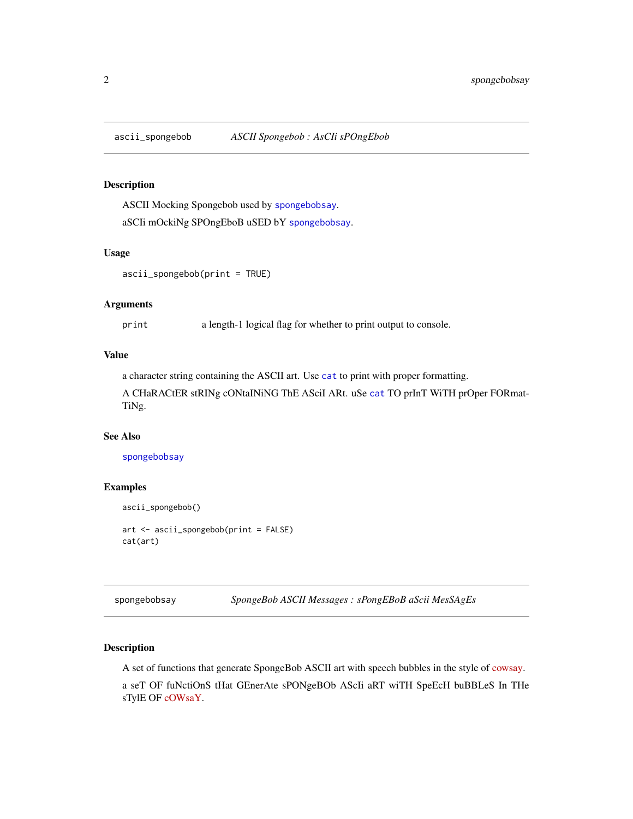<span id="page-1-2"></span><span id="page-1-0"></span>

#### Description

ASCII Mocking Spongebob used by [spongebobsay](#page-1-1). aSCIi mOckiNg SPOngEboB uSED bY [spongebobsay](#page-1-1).

#### Usage

ascii\_spongebob(print = TRUE)

#### Arguments

print a length-1 logical flag for whether to print output to console.

#### Value

a character string containing the ASCII art. Use [cat](#page-0-0) to print with proper formatting.

A CHaRACtER stRINg cONtaINiNG ThE ASciI ARt. uSe [cat](#page-0-0) TO prInT WiTH prOper FORmat-TiNg.

#### See Also

[spongebobsay](#page-1-1)

#### Examples

```
ascii_spongebob()
art <- ascii_spongebob(print = FALSE)
cat(art)
```
<span id="page-1-1"></span>spongebobsay *SpongeBob ASCII Messages : sPongEBoB aScii MesSAgEs*

#### Description

A set of functions that generate SpongeBob ASCII art with speech bubbles in the style of [cowsay.](https://en.wikipedia.org/wiki/Cowsay) a seT OF fuNctiOnS tHat GEnerAte sPONgeBOb AScIi aRT wiTH SpeEcH buBBLeS In THe sTylE OF [cOWsaY.](https://en.wikipedia.org/wiki/Cowsay)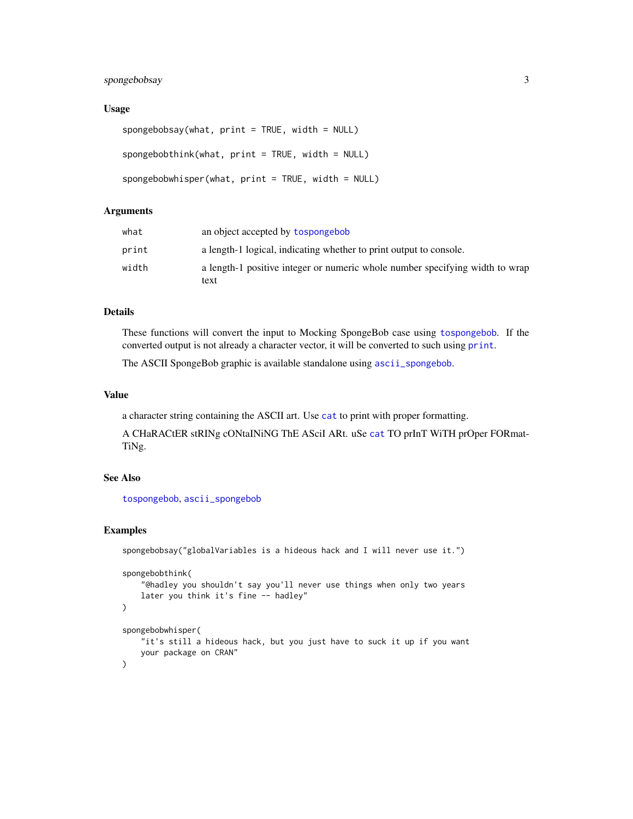#### <span id="page-2-0"></span>spongebobsay 3

#### Usage

```
spongebobsay(what, print = TRUE, width = NULL)
spongebobthink(what, print = TRUE, width = NULL)spongebobwhisper(what, print = TRUE, width = NULL)
```
#### Arguments

| what  | an object accepted by tospongebob                                            |
|-------|------------------------------------------------------------------------------|
| print | a length-1 logical, indicating whether to print output to console.           |
| width | a length-1 positive integer or numeric whole number specifying width to wrap |
|       | text                                                                         |

#### Details

These functions will convert the input to Mocking SpongeBob case using [tospongebob](#page-3-1). If the converted output is not already a character vector, it will be converted to such using [print](#page-0-0).

The ASCII SpongeBob graphic is available standalone using [ascii\\_spongebob](#page-1-2).

#### Value

a character string containing the ASCII art. Use [cat](#page-0-0) to print with proper formatting.

A CHaRACtER stRINg cONtaINiNG ThE ASciI ARt. uSe [cat](#page-0-0) TO prInT WiTH prOper FORmat-TiNg.

#### See Also

[tospongebob](#page-3-1), [ascii\\_spongebob](#page-1-2)

#### Examples

```
spongebobsay("globalVariables is a hideous hack and I will never use it.")
spongebobthink(
    "@hadley you shouldn't say you'll never use things when only two years
    later you think it's fine -- hadley"
)
spongebobwhisper(
    "it's still a hideous hack, but you just have to suck it up if you want
    your package on CRAN"
\mathcal{L}
```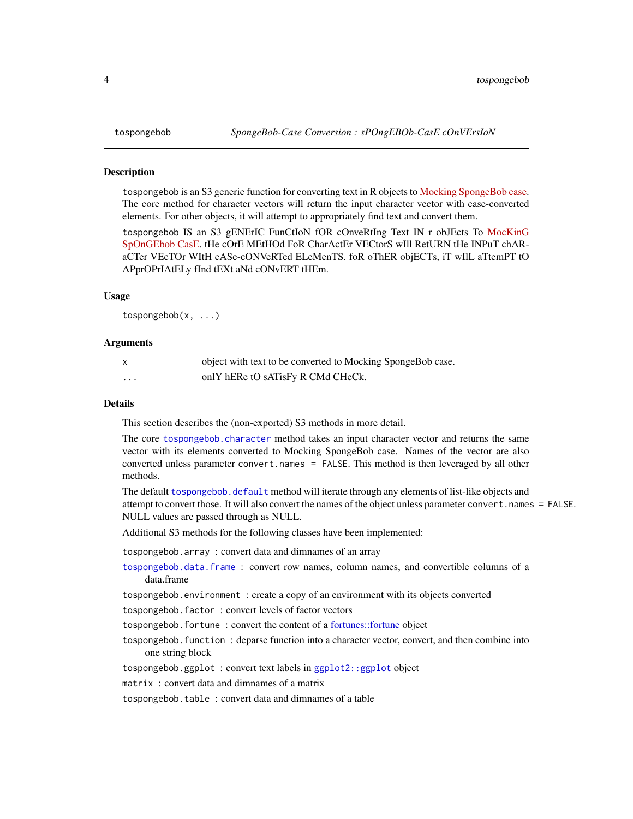#### <span id="page-3-1"></span><span id="page-3-0"></span>**Description**

tospongebob is an S3 generic function for converting text in R objects to [Mocking SpongeBob case.](https://knowyourmeme.com/memes/mocking-spongebob) The core method for character vectors will return the input character vector with case-converted elements. For other objects, it will attempt to appropriately find text and convert them.

tospongebob IS an S3 gENErIC FunCtIoN fOR cOnveRtIng Text IN r obJEcts To [MocKinG](https://knowyourmeme.com/memes/mocking-spongebob) [SpOnGEbob CasE.](https://knowyourmeme.com/memes/mocking-spongebob) tHe cOrE MEtHOd FoR CharActEr VECtorS wIll RetURN tHe INPuT chARaCTer VEcTOr WItH cASe-cONVeRTed ELeMenTS. foR oThER objECTs, iT wIlL aTtemPT tO APprOPrIAtELy fInd tEXt aNd cONvERT tHEm.

#### Usage

tospongebob(x, ...)

#### Arguments

| $\mathsf{x}$ | object with text to be converted to Mocking SpongeBob case. |
|--------------|-------------------------------------------------------------|
| .            | onlY hERe tO sATisFy R CMd CHeCk.                           |

#### Details

This section describes the (non-exported) S3 methods in more detail.

```
The core tospongebob.character method takes an input character vector and returns the same
vector with its elements converted to Mocking SpongeBob case. Names of the vector are also
converted unless parameter convert.names = FALSE. This method is then leveraged by all other
methods.
```
The default tospongebob, default method will iterate through any elements of list-like objects and attempt to convert those. It will also convert the names of the object unless parameter convert.names = FALSE. NULL values are passed through as NULL.

Additional S3 methods for the following classes have been implemented:

tospongebob.array : convert data and dimnames of an array

[tospongebob.data.frame](#page-5-1) : convert row names, column names, and convertible columns of a data.frame

tospongebob.environment : create a copy of an environment with its objects converted

tospongebob.factor : convert levels of factor vectors

tospongebob.fortune : convert the content of a [fortunes::fortune](#page-0-0) object

tospongebob.function : deparse function into a character vector, convert, and then combine into one string block

tospongebob.ggplot : convert text labels in [ggplot2::ggplot](#page-0-0) object

matrix : convert data and dimnames of a matrix

tospongebob.table : convert data and dimnames of a table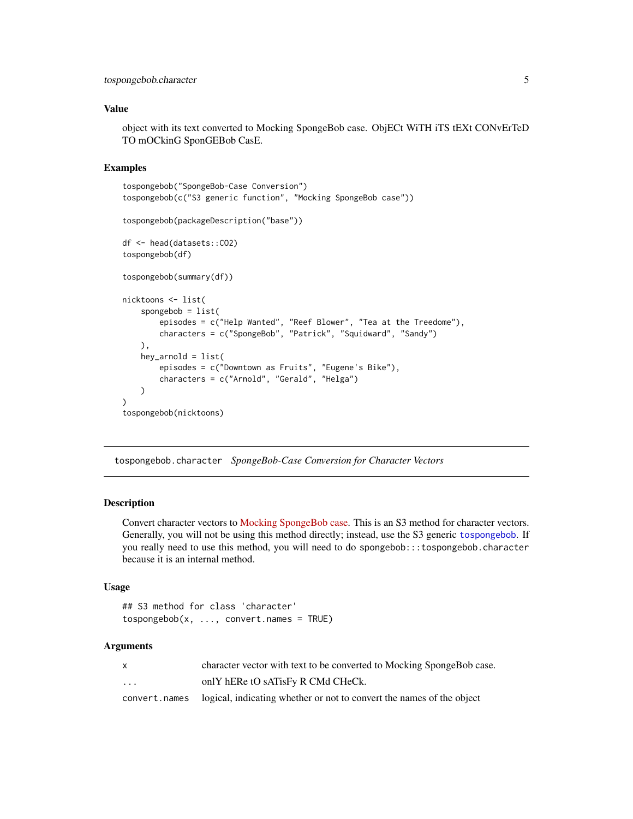#### <span id="page-4-0"></span>Value

object with its text converted to Mocking SpongeBob case. ObjECt WiTH iTS tEXt CONvErTeD TO mOCkinG SponGEBob CasE.

#### Examples

```
tospongebob("SpongeBob-Case Conversion")
tospongebob(c("S3 generic function", "Mocking SpongeBob case"))
tospongebob(packageDescription("base"))
df <- head(datasets::CO2)
tospongebob(df)
tospongebob(summary(df))
nicktoons <- list(
    spongebob = list(
        episodes = c("Help Wanted", "Reef Blower", "Tea at the Treedome"),
        characters = c("SpongeBob", "Patrick", "Squidward", "Sandy")
   ),
   hey_arnold = list(
        episodes = c("Downtown as Fruits", "Eugene's Bike"),
        characters = c("Arnold", "Gerald", "Helga")
   )
)
tospongebob(nicktoons)
```
<span id="page-4-1"></span>tospongebob.character *SpongeBob-Case Conversion for Character Vectors*

#### Description

Convert character vectors to [Mocking SpongeBob case.](https://knowyourmeme.com/memes/mocking-spongebob) This is an S3 method for character vectors. Generally, you will not be using this method directly; instead, use the S3 generic [tospongebob](#page-3-1). If you really need to use this method, you will need to do spongebob:::tospongebob.character because it is an internal method.

#### Usage

```
## S3 method for class 'character'
tospongebob(x, ..., convert.names = TRUE)
```
#### Arguments

|         | character vector with text to be converted to Mocking SpongeBob case.                |
|---------|--------------------------------------------------------------------------------------|
| $\cdot$ | only hERe tO sATisFy R CMd CHeCk.                                                    |
|         | convert, names logical, indicating whether or not to convert the names of the object |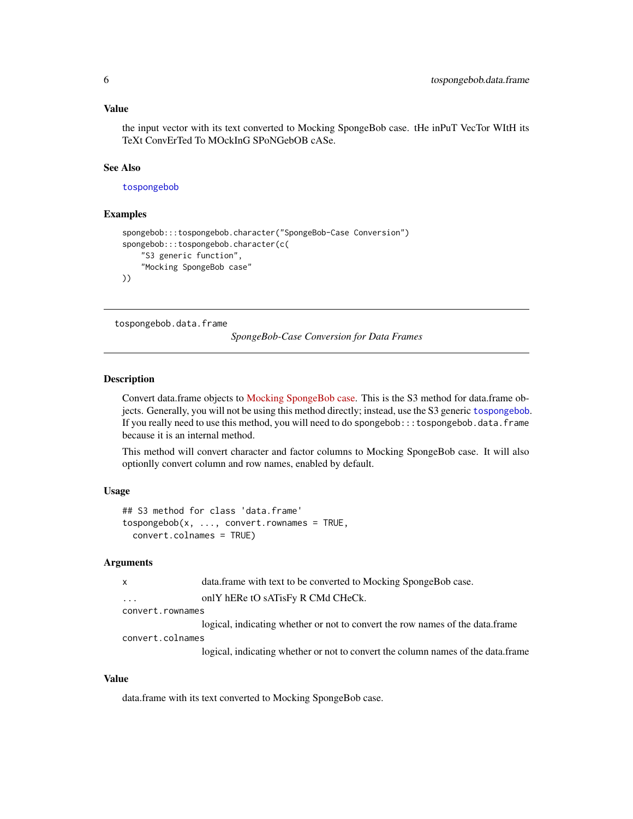#### <span id="page-5-0"></span>Value

the input vector with its text converted to Mocking SpongeBob case. tHe inPuT VecTor WItH its TeXt ConvErTed To MOckInG SPoNGebOB cASe.

#### See Also

[tospongebob](#page-3-1)

#### Examples

```
spongebob:::tospongebob.character("SpongeBob-Case Conversion")
spongebob:::tospongebob.character(c(
    "S3 generic function",
    "Mocking SpongeBob case"
))
```
<span id="page-5-1"></span>tospongebob.data.frame

*SpongeBob-Case Conversion for Data Frames*

#### Description

Convert data.frame objects to [Mocking SpongeBob case.](https://knowyourmeme.com/memes/mocking-spongebob) This is the S3 method for data.frame objects. Generally, you will not be using this method directly; instead, use the S3 generic [tospongebob](#page-3-1). If you really need to use this method, you will need to do spongebob:::tospongebob.data.frame because it is an internal method.

This method will convert character and factor columns to Mocking SpongeBob case. It will also optionlly convert column and row names, enabled by default.

#### Usage

```
## S3 method for class 'data.frame'
tospongebob(x, ..., convert.rownames = TRUE,convert.colnames = TRUE)
```
#### Arguments

```
x data.frame with text to be converted to Mocking SpongeBob case.
... only hERe tO sATisFy R CMd CHeCk.
```
convert.rownames

logical, indicating whether or not to convert the row names of the data.frame convert.colnames

logical, indicating whether or not to convert the column names of the data.frame

#### Value

data.frame with its text converted to Mocking SpongeBob case.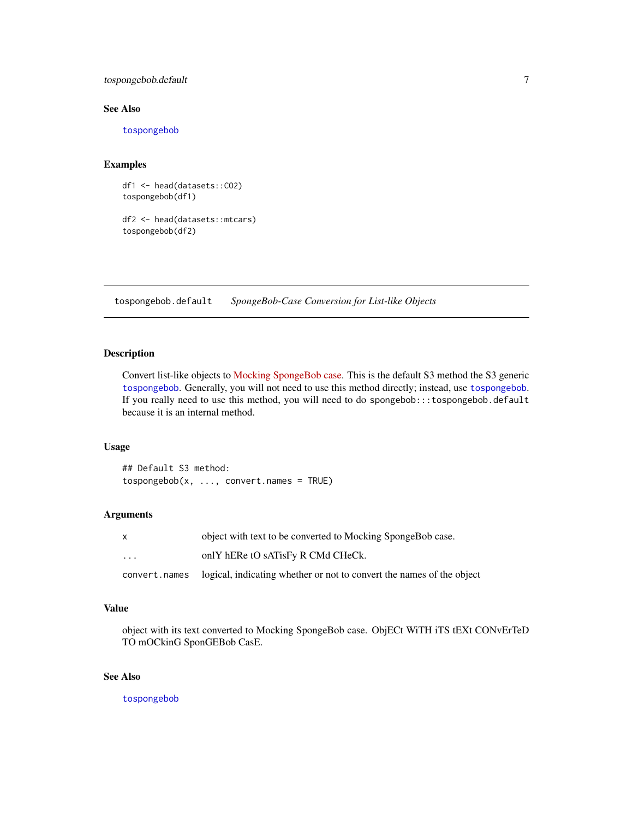#### <span id="page-6-0"></span>tospongebob.default 7

#### See Also

[tospongebob](#page-3-1)

#### Examples

df1 <- head(datasets::CO2) tospongebob(df1)

df2 <- head(datasets::mtcars) tospongebob(df2)

<span id="page-6-1"></span>tospongebob.default *SpongeBob-Case Conversion for List-like Objects*

#### Description

Convert list-like objects to [Mocking SpongeBob case.](https://knowyourmeme.com/memes/mocking-spongebob) This is the default S3 method the S3 generic [tospongebob](#page-3-1). Generally, you will not need to use this method directly; instead, use [tospongebob](#page-3-1). If you really need to use this method, you will need to do spongebob:::tospongebob.default because it is an internal method.

#### Usage

## Default S3 method:  $tospongebob(x, ..., convert.names = TRUE)$ 

#### Arguments

| x                       | object with text to be converted to Mocking SpongeBob case.                          |
|-------------------------|--------------------------------------------------------------------------------------|
| $\cdot$ $\cdot$ $\cdot$ | only hERe tO sATisFy R CMd CHeCk.                                                    |
|                         | convert, names logical, indicating whether or not to convert the names of the object |

#### Value

object with its text converted to Mocking SpongeBob case. ObjECt WiTH iTS tEXt CONvErTeD TO mOCkinG SponGEBob CasE.

#### See Also

[tospongebob](#page-3-1)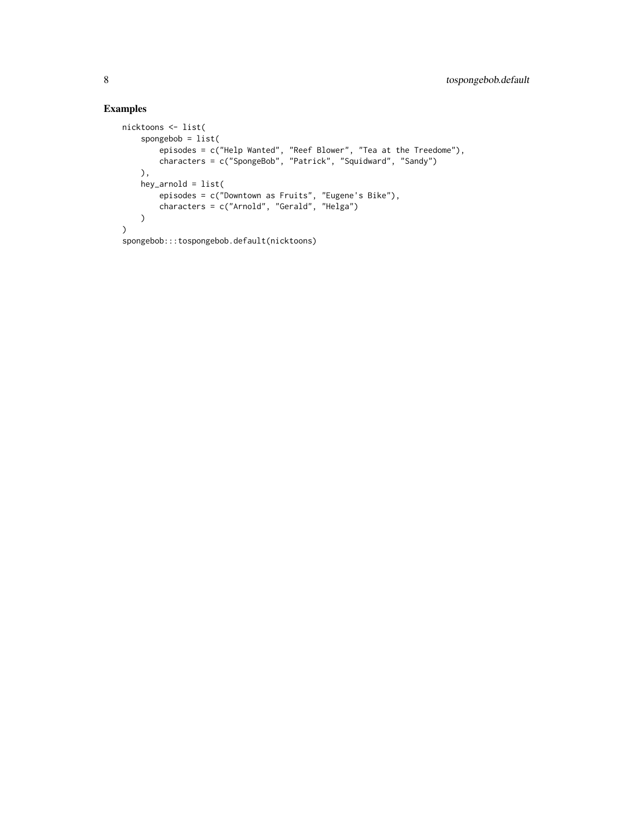#### Examples

```
nicktoons <- list(
   spongebob = list(
        episodes = c("Help Wanted", "Reef Blower", "Tea at the Treedome"),
        characters = c("SpongeBob", "Patrick", "Squidward", "Sandy")
   ),
   hey_arnold = list(
        episodes = c("Downtown as Fruits", "Eugene's Bike"),
        characters = c("Arnold", "Gerald", "Helga")
   \lambda)
spongebob:::tospongebob.default(nicktoons)
```